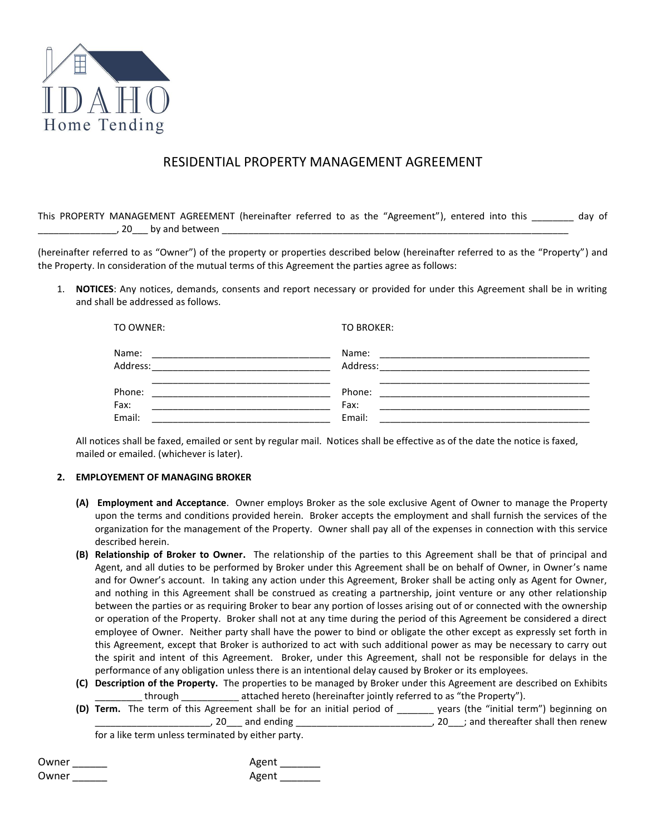

# RESIDENTIAL PROPERTY MANAGEMENT AGREEMENT

This PROPERTY MANAGEMENT AGREEMENT (hereinafter referred to as the "Agreement"), entered into this \_\_\_\_\_\_\_\_ day of , 20  $\hbar$  by and between

(hereinafter referred to as "Owner") of the property or properties described below (hereinafter referred to as the "Property") and the Property. In consideration of the mutual terms of this Agreement the parties agree as follows:

1. **NOTICES**: Any notices, demands, consents and report necessary or provided for under this Agreement shall be in writing and shall be addressed as follows.

| TO OWNER:                                   | TO BROKER:                                                                                                                     |
|---------------------------------------------|--------------------------------------------------------------------------------------------------------------------------------|
| Name:                                       | Name:                                                                                                                          |
| Address:                                    | Address:                                                                                                                       |
| Phone:<br>the control of the control of the | Phone:<br><u> 1986 - Jan Bernard Barbara, president a la família de la família de la família de la família de la família d</u> |
| Fax:                                        | Fax:                                                                                                                           |
| Email:                                      | Email:                                                                                                                         |

All notices shall be faxed, emailed or sent by regular mail. Notices shall be effective as of the date the notice is faxed, mailed or emailed. (whichever is later).

#### **2. EMPLOYEMENT OF MANAGING BROKER**

- **(A) Employment and Acceptance**. Owner employs Broker as the sole exclusive Agent of Owner to manage the Property upon the terms and conditions provided herein. Broker accepts the employment and shall furnish the services of the organization for the management of the Property. Owner shall pay all of the expenses in connection with this service described herein.
- **(B) Relationship of Broker to Owner.** The relationship of the parties to this Agreement shall be that of principal and Agent, and all duties to be performed by Broker under this Agreement shall be on behalf of Owner, in Owner's name and for Owner's account. In taking any action under this Agreement, Broker shall be acting only as Agent for Owner, and nothing in this Agreement shall be construed as creating a partnership, joint venture or any other relationship between the parties or as requiring Broker to bear any portion of losses arising out of or connected with the ownership or operation of the Property. Broker shall not at any time during the period of this Agreement be considered a direct employee of Owner. Neither party shall have the power to bind or obligate the other except as expressly set forth in this Agreement, except that Broker is authorized to act with such additional power as may be necessary to carry out the spirit and intent of this Agreement. Broker, under this Agreement, shall not be responsible for delays in the performance of any obligation unless there is an intentional delay caused by Broker or its employees.
- **(C) Description of the Property.** The properties to be managed by Broker under this Agreement are described on Exhibits \_\_\_\_\_\_\_\_\_ through \_\_\_\_\_\_\_\_\_\_\_ attached hereto (hereinafter jointly referred to as "the Property").
- **(D) Term.** The term of this Agreement shall be for an initial period of \_\_\_\_\_\_\_ years (the "initial term") beginning on \_\_\_\_\_\_\_\_\_\_\_\_\_\_\_\_\_\_\_\_\_\_, 20\_\_\_ and ending \_\_\_\_\_\_\_\_\_\_\_\_\_\_\_\_\_\_\_\_\_\_\_\_\_\_, 20\_\_\_; and thereafter shall then renew

for a like term unless terminated by either party.

| Owner | Agent |
|-------|-------|
| Owner | Agent |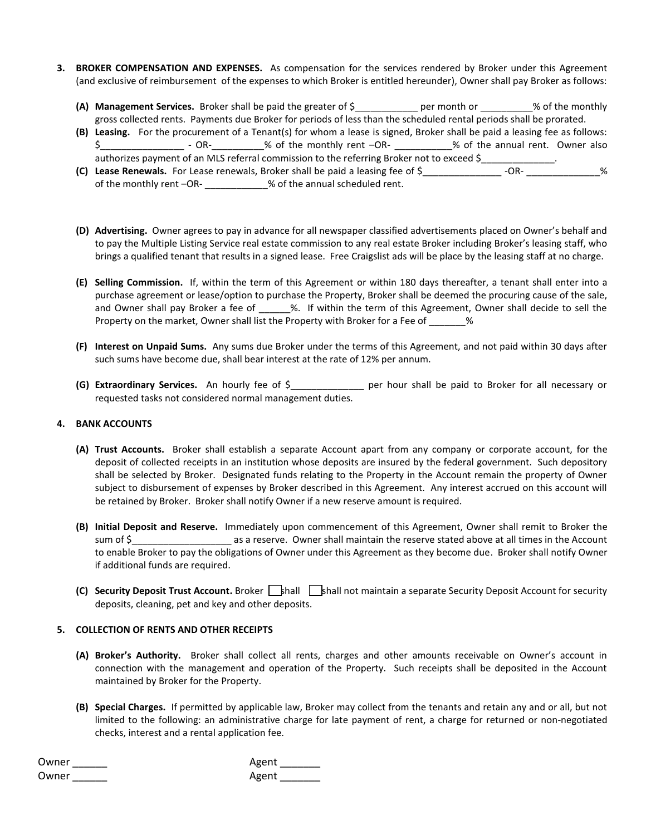- **3. BROKER COMPENSATION AND EXPENSES.** As compensation for the services rendered by Broker under this Agreement (and exclusive of reimbursement of the expenses to which Broker is entitled hereunder), Owner shall pay Broker as follows:
	- **(A) Management Services.** Broker shall be paid the greater of \$\_\_\_\_\_\_\_\_\_\_\_\_ per month or \_\_\_\_\_\_\_\_\_\_% of the monthly gross collected rents. Payments due Broker for periods of less than the scheduled rental periods shall be prorated.
	- **(B) Leasing.** For the procurement of a Tenant(s) for whom a lease is signed, Broker shall be paid a leasing fee as follows: \$\_\_\_\_\_\_\_\_\_\_\_\_\_\_\_\_ - OR-\_\_\_\_\_\_\_\_\_\_% of the monthly rent –OR- \_\_\_\_\_\_\_\_\_\_\_% of the annual rent. Owner also authorizes payment of an MLS referral commission to the referring Broker not to exceed \$
	- **(C) Lease Renewals.** For Lease renewals, Broker shall be paid a leasing fee of \$\_\_\_\_\_\_\_\_\_\_\_\_\_\_\_ -OR- \_\_\_\_\_\_\_\_\_\_\_\_\_\_% of the monthly rent –OR- \_\_\_\_\_\_\_\_\_\_\_\_% of the annual scheduled rent.
	- **(D) Advertising.** Owner agrees to pay in advance for all newspaper classified advertisements placed on Owner's behalf and to pay the Multiple Listing Service real estate commission to any real estate Broker including Broker's leasing staff, who brings a qualified tenant that results in a signed lease. Free Craigslist ads will be place by the leasing staff at no charge.
	- **(E) Selling Commission.** If, within the term of this Agreement or within 180 days thereafter, a tenant shall enter into a purchase agreement or lease/option to purchase the Property, Broker shall be deemed the procuring cause of the sale, and Owner shall pay Broker a fee of \_\_\_\_\_%. If within the term of this Agreement, Owner shall decide to sell the Property on the market, Owner shall list the Property with Broker for a Fee of \_\_\_\_\_\_\_%
	- **(F) Interest on Unpaid Sums.** Any sums due Broker under the terms of this Agreement, and not paid within 30 days after such sums have become due, shall bear interest at the rate of 12% per annum.
	- **(G) Extraordinary Services.** An hourly fee of \$\_\_\_\_\_\_\_\_\_\_\_\_\_\_ per hour shall be paid to Broker for all necessary or requested tasks not considered normal management duties.

## **4. BANK ACCOUNTS**

- **(A) Trust Accounts.** Broker shall establish a separate Account apart from any company or corporate account, for the deposit of collected receipts in an institution whose deposits are insured by the federal government. Such depository shall be selected by Broker. Designated funds relating to the Property in the Account remain the property of Owner subject to disbursement of expenses by Broker described in this Agreement. Any interest accrued on this account will be retained by Broker. Broker shall notify Owner if a new reserve amount is required.
- **(B) Initial Deposit and Reserve.** Immediately upon commencement of this Agreement, Owner shall remit to Broker the sum of \$\_\_\_\_\_\_\_\_\_\_\_\_\_\_\_\_\_\_\_ as a reserve. Owner shall maintain the reserve stated above at all times in the Account to enable Broker to pay the obligations of Owner under this Agreement as they become due. Broker shall notify Owner if additional funds are required.
- **(C)** Security Deposit Trust Account. Broker shall shall not maintain a separate Security Deposit Account for security deposits, cleaning, pet and key and other deposits.

## **5. COLLECTION OF RENTS AND OTHER RECEIPTS**

- **(A) Broker's Authority.** Broker shall collect all rents, charges and other amounts receivable on Owner's account in connection with the management and operation of the Property. Such receipts shall be deposited in the Account maintained by Broker for the Property.
- **(B) Special Charges.** If permitted by applicable law, Broker may collect from the tenants and retain any and or all, but not limited to the following: an administrative charge for late payment of rent, a charge for returned or non-negotiated checks, interest and a rental application fee.

| Owner | Agent |
|-------|-------|
| Owner | Agent |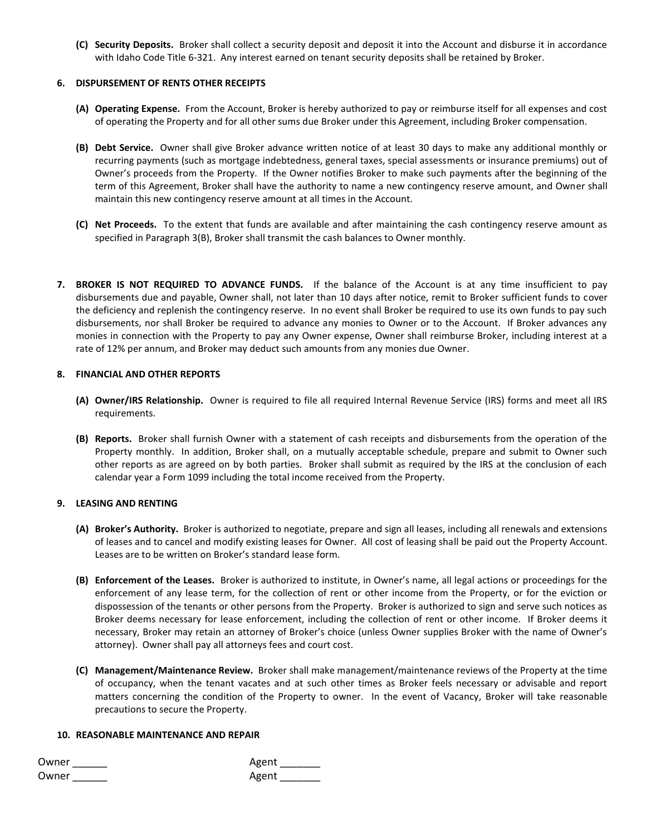**(C) Security Deposits.** Broker shall collect a security deposit and deposit it into the Account and disburse it in accordance with Idaho Code Title 6-321. Any interest earned on tenant security deposits shall be retained by Broker.

## **6. DISPURSEMENT OF RENTS OTHER RECEIPTS**

- **(A) Operating Expense.** From the Account, Broker is hereby authorized to pay or reimburse itself for all expenses and cost of operating the Property and for all other sums due Broker under this Agreement, including Broker compensation.
- **(B) Debt Service.** Owner shall give Broker advance written notice of at least 30 days to make any additional monthly or recurring payments (such as mortgage indebtedness, general taxes, special assessments or insurance premiums) out of Owner's proceeds from the Property. If the Owner notifies Broker to make such payments after the beginning of the term of this Agreement, Broker shall have the authority to name a new contingency reserve amount, and Owner shall maintain this new contingency reserve amount at all times in the Account.
- **(C) Net Proceeds.** To the extent that funds are available and after maintaining the cash contingency reserve amount as specified in Paragraph 3(B), Broker shall transmit the cash balances to Owner monthly.
- **7. BROKER IS NOT REQUIRED TO ADVANCE FUNDS.** If the balance of the Account is at any time insufficient to pay disbursements due and payable, Owner shall, not later than 10 days after notice, remit to Broker sufficient funds to cover the deficiency and replenish the contingency reserve. In no event shall Broker be required to use its own funds to pay such disbursements, nor shall Broker be required to advance any monies to Owner or to the Account. If Broker advances any monies in connection with the Property to pay any Owner expense, Owner shall reimburse Broker, including interest at a rate of 12% per annum, and Broker may deduct such amounts from any monies due Owner.

# **8. FINANCIAL AND OTHER REPORTS**

- **(A) Owner/IRS Relationship.** Owner is required to file all required Internal Revenue Service (IRS) forms and meet all IRS requirements.
- **(B) Reports.** Broker shall furnish Owner with a statement of cash receipts and disbursements from the operation of the Property monthly. In addition, Broker shall, on a mutually acceptable schedule, prepare and submit to Owner such other reports as are agreed on by both parties. Broker shall submit as required by the IRS at the conclusion of each calendar year a Form 1099 including the total income received from the Property.

## **9. LEASING AND RENTING**

- **(A) Broker's Authority.** Broker is authorized to negotiate, prepare and sign all leases, including all renewals and extensions of leases and to cancel and modify existing leases for Owner. All cost of leasing shall be paid out the Property Account. Leases are to be written on Broker's standard lease form.
- **(B) Enforcement of the Leases.** Broker is authorized to institute, in Owner's name, all legal actions or proceedings for the enforcement of any lease term, for the collection of rent or other income from the Property, or for the eviction or dispossession of the tenants or other persons from the Property. Broker is authorized to sign and serve such notices as Broker deems necessary for lease enforcement, including the collection of rent or other income. If Broker deems it necessary, Broker may retain an attorney of Broker's choice (unless Owner supplies Broker with the name of Owner's attorney). Owner shall pay all attorneys fees and court cost.
- **(C) Management/Maintenance Review.** Broker shall make management/maintenance reviews of the Property at the time of occupancy, when the tenant vacates and at such other times as Broker feels necessary or advisable and report matters concerning the condition of the Property to owner. In the event of Vacancy, Broker will take reasonable precautions to secure the Property.

## **10. REASONABLE MAINTENANCE AND REPAIR**

| Owner | Agent |  |  |
|-------|-------|--|--|
| Owner | Agent |  |  |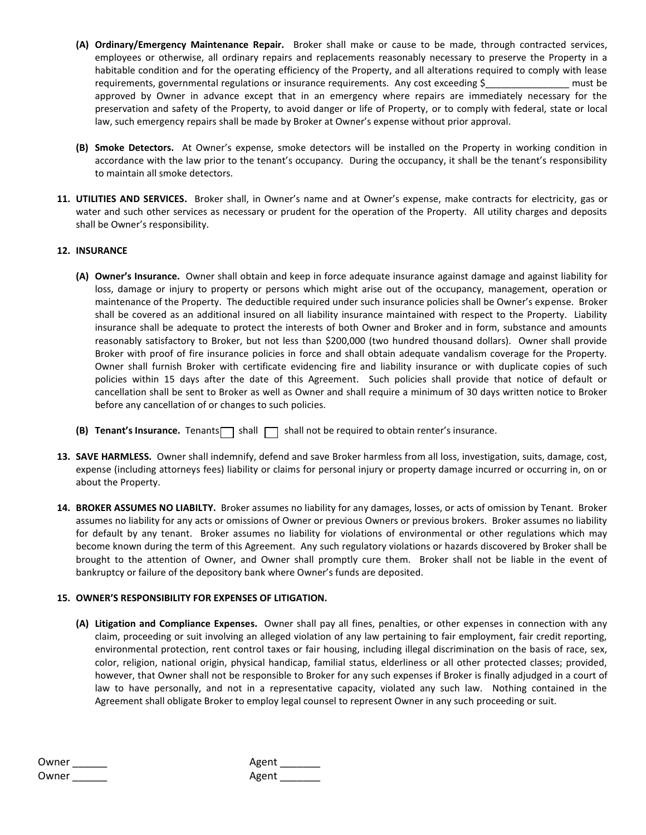- **(A) Ordinary/Emergency Maintenance Repair.** Broker shall make or cause to be made, through contracted services, employees or otherwise, all ordinary repairs and replacements reasonably necessary to preserve the Property in a habitable condition and for the operating efficiency of the Property, and all alterations required to comply with lease requirements, governmental regulations or insurance requirements. Any cost exceeding \$ \_\_\_\_\_\_\_\_\_\_\_\_\_\_\_\_\_\_\_ must be approved by Owner in advance except that in an emergency where repairs are immediately necessary for the preservation and safety of the Property, to avoid danger or life of Property, or to comply with federal, state or local law, such emergency repairs shall be made by Broker at Owner's expense without prior approval.
- **(B) Smoke Detectors.** At Owner's expense, smoke detectors will be installed on the Property in working condition in accordance with the law prior to the tenant's occupancy. During the occupancy, it shall be the tenant's responsibility to maintain all smoke detectors.
- **11. UTILITIES AND SERVICES.** Broker shall, in Owner's name and at Owner's expense, make contracts for electricity, gas or water and such other services as necessary or prudent for the operation of the Property. All utility charges and deposits shall be Owner's responsibility.

# **12. INSURANCE**

- **(A) Owner's Insurance.** Owner shall obtain and keep in force adequate insurance against damage and against liability for loss, damage or injury to property or persons which might arise out of the occupancy, management, operation or maintenance of the Property. The deductible required under such insurance policies shall be Owner's expense. Broker shall be covered as an additional insured on all liability insurance maintained with respect to the Property. Liability insurance shall be adequate to protect the interests of both Owner and Broker and in form, substance and amounts reasonably satisfactory to Broker, but not less than \$200,000 (two hundred thousand dollars). Owner shall provide Broker with proof of fire insurance policies in force and shall obtain adequate vandalism coverage for the Property. Owner shall furnish Broker with certificate evidencing fire and liability insurance or with duplicate copies of such policies within 15 days after the date of this Agreement. Such policies shall provide that notice of default or cancellation shall be sent to Broker as well as Owner and shall require a minimum of 30 days written notice to Broker before any cancellation of or changes to such policies.
- **(B) Tenant's Insurance.** Tenants shall shall not be required to obtain renter's insurance.
- **13. SAVE HARMLESS.** Owner shall indemnify, defend and save Broker harmless from all loss, investigation, suits, damage, cost, expense (including attorneys fees) liability or claims for personal injury or property damage incurred or occurring in, on or about the Property.
- **14. BROKER ASSUMES NO LIABILTY.** Broker assumes no liability for any damages, losses, or acts of omission by Tenant. Broker assumes no liability for any acts or omissions of Owner or previous Owners or previous brokers. Broker assumes no liability for default by any tenant. Broker assumes no liability for violations of environmental or other regulations which may become known during the term of this Agreement. Any such regulatory violations or hazards discovered by Broker shall be brought to the attention of Owner, and Owner shall promptly cure them. Broker shall not be liable in the event of bankruptcy or failure of the depository bank where Owner's funds are deposited.

## **15. OWNER'S RESPONSIBILITY FOR EXPENSES OF LITIGATION.**

**(A) Litigation and Compliance Expenses.** Owner shall pay all fines, penalties, or other expenses in connection with any claim, proceeding or suit involving an alleged violation of any law pertaining to fair employment, fair credit reporting, environmental protection, rent control taxes or fair housing, including illegal discrimination on the basis of race, sex, color, religion, national origin, physical handicap, familial status, elderliness or all other protected classes; provided, however, that Owner shall not be responsible to Broker for any such expenses if Broker is finally adjudged in a court of law to have personally, and not in a representative capacity, violated any such law. Nothing contained in the Agreement shall obligate Broker to employ legal counsel to represent Owner in any such proceeding or suit.

| Owner |  |  |
|-------|--|--|
| Owner |  |  |

Agent \_\_\_\_\_\_\_\_ Owner \_\_\_\_\_\_ Agent \_\_\_\_\_\_\_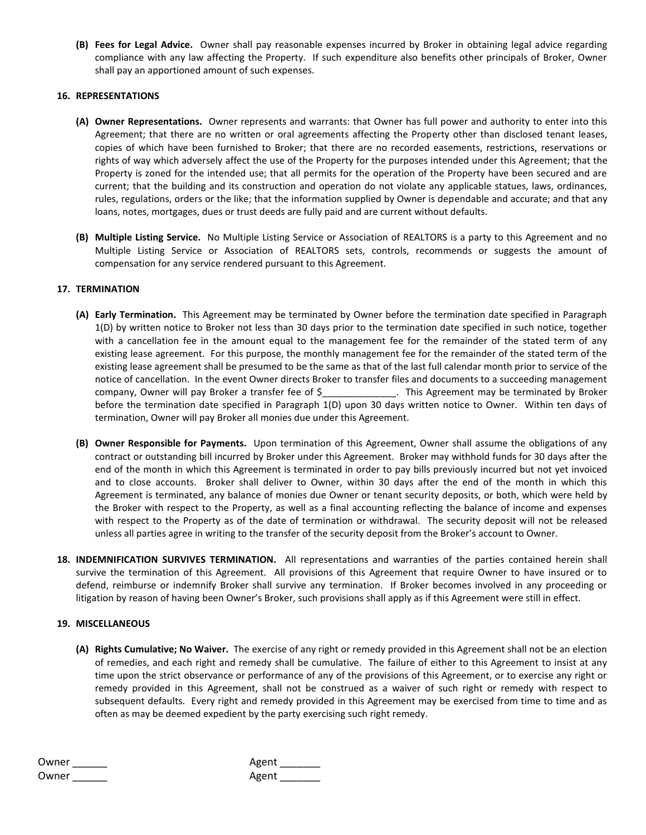**(B) Fees for Legal Advice.** Owner shall pay reasonable expenses incurred by Broker in obtaining legal advice regarding compliance with any law affecting the Property. If such expenditure also benefits other principals of Broker, Owner shall pay an apportioned amount of such expenses.

#### **16. REPRESENTATIONS**

- **(A) Owner Representations.** Owner represents and warrants: that Owner has full power and authority to enter into this Agreement; that there are no written or oral agreements affecting the Property other than disclosed tenant leases, copies of which have been furnished to Broker; that there are no recorded easements, restrictions, reservations or rights of way which adversely affect the use of the Property for the purposes intended under this Agreement; that the Property is zoned for the intended use; that all permits for the operation of the Property have been secured and are current; that the building and its construction and operation do not violate any applicable statues, laws, ordinances, rules, regulations, orders or the like; that the information supplied by Owner is dependable and accurate; and that any loans, notes, mortgages, dues or trust deeds are fully paid and are current without defaults.
- **(B) Multiple Listing Service.** No Multiple Listing Service or Association of REALTORS is a party to this Agreement and no Multiple Listing Service or Association of REALTORS sets, controls, recommends or suggests the amount of compensation for any service rendered pursuant to this Agreement.

#### **17. TERMINATION**

- **(A) Early Termination.** This Agreement may be terminated by Owner before the termination date specified in Paragraph 1(D) by written notice to Broker not less than 30 days prior to the termination date specified in such notice, together with a cancellation fee in the amount equal to the management fee for the remainder of the stated term of any existing lease agreement. For this purpose, the monthly management fee for the remainder of the stated term of the existing lease agreement shall be presumed to be the same as that of the last full calendar month prior to service of the notice of cancellation. In the event Owner directs Broker to transfer files and documents to a succeeding management company, Owner will pay Broker a transfer fee of \$\_\_\_\_\_\_\_\_\_\_\_\_\_\_. This Agreement may be terminated by Broker before the termination date specified in Paragraph 1(D) upon 30 days written notice to Owner. Within ten days of termination, Owner will pay Broker all monies due under this Agreement.
- **(B) Owner Responsible for Payments.** Upon termination of this Agreement, Owner shall assume the obligations of any contract or outstanding bill incurred by Broker under this Agreement. Broker may withhold funds for 30 days after the end of the month in which this Agreement is terminated in order to pay bills previously incurred but not yet invoiced and to close accounts. Broker shall deliver to Owner, within 30 days after the end of the month in which this Agreement is terminated, any balance of monies due Owner or tenant security deposits, or both, which were held by the Broker with respect to the Property, as well as a final accounting reflecting the balance of income and expenses with respect to the Property as of the date of termination or withdrawal. The security deposit will not be released unless all parties agree in writing to the transfer of the security deposit from the Broker's account to Owner.
- **18. INDEMNIFICATION SURVIVES TERMINATION.** All representations and warranties of the parties contained herein shall survive the termination of this Agreement. All provisions of this Agreement that require Owner to have insured or to defend, reimburse or indemnify Broker shall survive any termination. If Broker becomes involved in any proceeding or litigation by reason of having been Owner's Broker, such provisions shall apply as if this Agreement were still in effect.

#### **19. MISCELLANEOUS**

**(A) Rights Cumulative; No Waiver.** The exercise of any right or remedy provided in this Agreement shall not be an election of remedies, and each right and remedy shall be cumulative. The failure of either to this Agreement to insist at any time upon the strict observance or performance of any of the provisions of this Agreement, or to exercise any right or remedy provided in this Agreement, shall not be construed as a waiver of such right or remedy with respect to subsequent defaults. Every right and remedy provided in this Agreement may be exercised from time to time and as often as may be deemed expedient by the party exercising such right remedy.

| Owner |  |
|-------|--|
| Owner |  |

Agent \_\_\_\_\_\_\_\_ Agent \_\_\_\_\_\_\_\_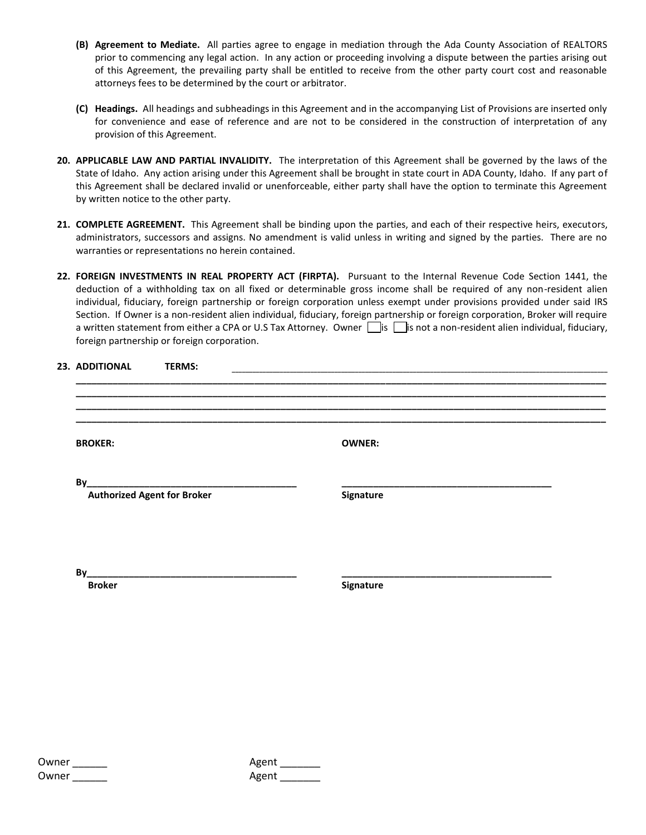- **(B) Agreement to Mediate.** All parties agree to engage in mediation through the Ada County Association of REALTORS prior to commencing any legal action. In any action or proceeding involving a dispute between the parties arising out of this Agreement, the prevailing party shall be entitled to receive from the other party court cost and reasonable attorneys fees to be determined by the court or arbitrator.
- **(C) Headings.** All headings and subheadings in this Agreement and in the accompanying List of Provisions are inserted only for convenience and ease of reference and are not to be considered in the construction of interpretation of any provision of this Agreement.
- **20. APPLICABLE LAW AND PARTIAL INVALIDITY.** The interpretation of this Agreement shall be governed by the laws of the State of Idaho. Any action arising under this Agreement shall be brought in state court in ADA County, Idaho. If any part of this Agreement shall be declared invalid or unenforceable, either party shall have the option to terminate this Agreement by written notice to the other party.
- **21. COMPLETE AGREEMENT.** This Agreement shall be binding upon the parties, and each of their respective heirs, executors, administrators, successors and assigns. No amendment is valid unless in writing and signed by the parties. There are no warranties or representations no herein contained.
- **22. FOREIGN INVESTMENTS IN REAL PROPERTY ACT (FIRPTA).** Pursuant to the Internal Revenue Code Section 1441, the deduction of a withholding tax on all fixed or determinable gross income shall be required of any non-resident alien individual, fiduciary, foreign partnership or foreign corporation unless exempt under provisions provided under said IRS Section. If Owner is a non-resident alien individual, fiduciary, foreign partnership or foreign corporation, Broker will require a written statement from either a CPA or U.S Tax Attorney. Owner is is not a non-resident alien individual, fiduciary, foreign partnership or foreign corporation.

| <b>BROKER:</b>                           | <b>OWNER:</b> |  |
|------------------------------------------|---------------|--|
| By<br><b>Authorized Agent for Broker</b> | Signature     |  |
| <b>Broker</b>                            | Signature     |  |

| Owner |  |
|-------|--|
| Owner |  |

Agent \_\_\_\_\_\_ Owner \_\_\_\_\_\_ Agent \_\_\_\_\_\_\_